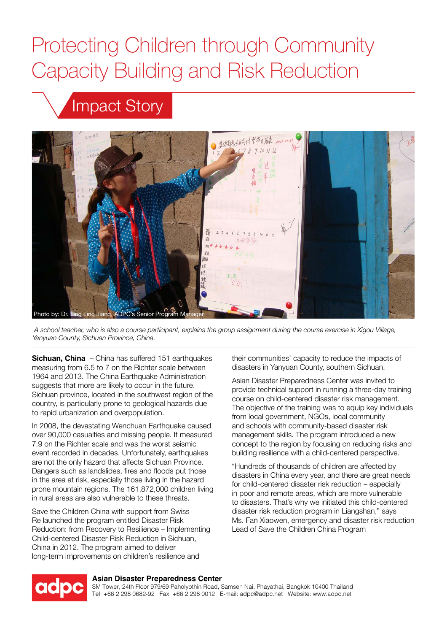# Protecting Children through Community Capacity Building and Risk Reduction

# Impact Story



 *A school teacher, who is also a course participant, explains the group assignment during the course exercise in Xigou Village, Yanyuan County, Sichuan Province, China.*

**Sichuan, China** – China has suffered 151 earthquakes measuring from 6.5 to 7 on the Richter scale between 1964 and 2013. The China Earthquake Administration suggests that more are likely to occur in the future. Sichuan province, located in the southwest region of the country, is particularly prone to geological hazards due to rapid urbanization and overpopulation.

In 2008, the devastating Wenchuan Earthquake caused over 90,000 casualties and missing people. It measured 7.9 on the Richter scale and was the worst seismic event recorded in decades. Unfortunately, earthquakes are not the only hazard that affects Sichuan Province. Dangers such as landslides, fires and floods put those in the area at risk, especially those living in the hazard prone mountain regions. The 161,872,000 children living in rural areas are also vulnerable to these threats.

Save the Children China with support from Swiss Re launched the program entitled Disaster Risk Reduction: from Recovery to Resilience – Implementing Child-centered Disaster Risk Reduction in Sichuan, China in 2012. The program aimed to deliver long-term improvements on children's resilience and

their communities' capacity to reduce the impacts of disasters in Yanyuan County, southern Sichuan.

Asian Disaster Preparedness Center was invited to provide technical support in running a three-day training course on child-centered disaster risk management. The objective of the training was to equip key individuals from local government, NGOs, local community and schools with community-based disaster risk management skills. The program introduced a new concept to the region by focusing on reducing risks and building resilience with a child-centered perspective.

"Hundreds of thousands of children are affected by disasters in China every year, and there are great needs for child-centered disaster risk reduction – especially in poor and remote areas, which are more vulnerable to disasters. That's why we initiated this child-centered disaster risk reduction program in Liangshan," says Ms. Fan Xiaowen, emergency and disaster risk reduction Lead of Save the Children China Program



#### **Asian Disaster Preparedness Center**

SM Tower, 24th Floor 979/69 Paholyothin Road, Samsen Nai, Phayathai, Bangkok 10400 Thailand Tel: +66 2 298 0682-92 Fax: +66 2 298 0012 E-mail: adpc@adpc.net Website: www.adpc.net